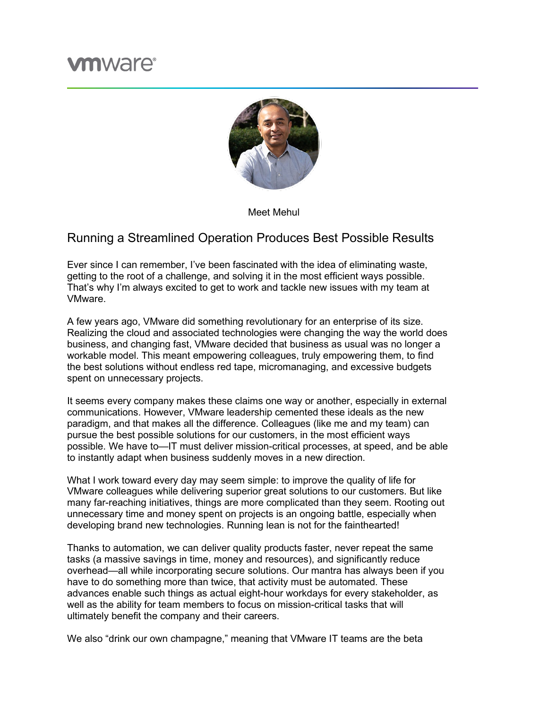## **vm**ware<sup>®</sup>



Meet Mehul

## Running a Streamlined Operation Produces Best Possible Results

Ever since I can remember, I've been fascinated with the idea of eliminating waste, getting to the root of a challenge, and solving it in the most efficient ways possible. That's why I'm always excited to get to work and tackle new issues with my team at VMware.

A few years ago, VMware did something revolutionary for an enterprise of its size. Realizing the cloud and associated technologies were changing the way the world does business, and changing fast, VMware decided that business as usual was no longer a workable model. This meant empowering colleagues, truly empowering them, to find the best solutions without endless red tape, micromanaging, and excessive budgets spent on unnecessary projects.

It seems every company makes these claims one way or another, especially in external communications. However, VMware leadership cemented these ideals as the new paradigm, and that makes all the difference. Colleagues (like me and my team) can pursue the best possible solutions for our customers, in the most efficient ways possible. We have to—IT must deliver mission-critical processes, at speed, and be able to instantly adapt when business suddenly moves in a new direction.

What I work toward every day may seem simple: to improve the quality of life for VMware colleagues while delivering superior great solutions to our customers. But like many far-reaching initiatives, things are more complicated than they seem. Rooting out unnecessary time and money spent on projects is an ongoing battle, especially when developing brand new technologies. Running lean is not for the fainthearted!

Thanks to automation, we can deliver quality products faster, never repeat the same tasks (a massive savings in time, money and resources), and significantly reduce overhead—all while incorporating secure solutions. Our mantra has always been if you have to do something more than twice, that activity must be automated. These advances enable such things as actual eight-hour workdays for every stakeholder, as well as the ability for team members to focus on mission-critical tasks that will ultimately benefit the company and their careers.

We also "drink our own champagne," meaning that VMware IT teams are the beta